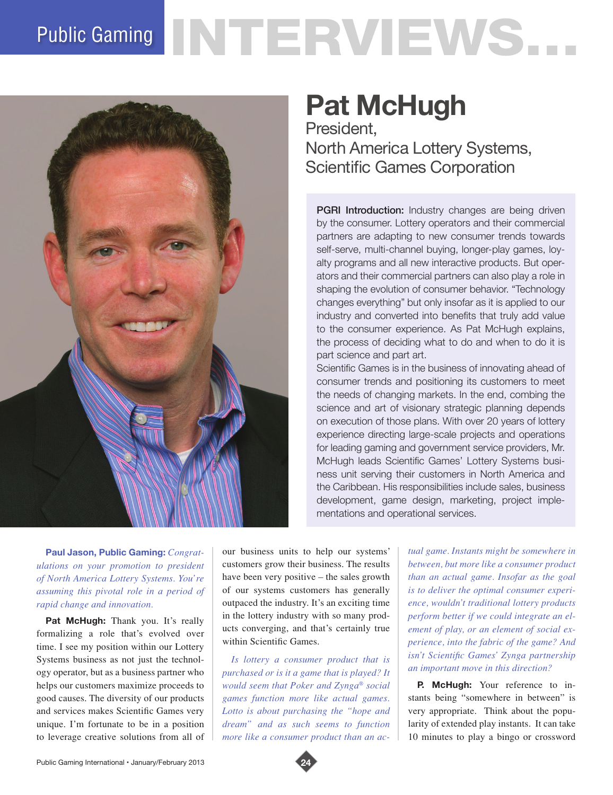## Public Gaming NTERVIEWS.



## **Pat McHugh**

President, North America Lottery Systems, Scientific Games Corporation

**PGRI Introduction:** Industry changes are being driven by the consumer. Lottery operators and their commercial partners are adapting to new consumer trends towards self-serve, multi-channel buying, longer-play games, loyalty programs and all new interactive products. But operators and their commercial partners can also play a role in shaping the evolution of consumer behavior. "Technology changes everything" but only insofar as it is applied to our industry and converted into benefits that truly add value to the consumer experience. As Pat McHugh explains, the process of deciding what to do and when to do it is part science and part art.

Scientific Games is in the business of innovating ahead of consumer trends and positioning its customers to meet the needs of changing markets. In the end, combing the science and art of visionary strategic planning depends on execution of those plans. With over 20 years of lottery experience directing large-scale projects and operations for leading gaming and government service providers, Mr. McHugh leads Scientific Games' Lottery Systems business unit serving their customers in North America and the Caribbean. His responsibilities include sales, business development, game design, marketing, project implementations and operational services.

**Paul Jason, Public Gaming:** *Congratulations on your promotion to president of North America Lottery Systems. You're assuming this pivotal role in a period of rapid change and innovation.*

Pat McHugh: Thank you. It's really formalizing a role that's evolved over time. I see my position within our Lottery Systems business as not just the technology operator, but as a business partner who helps our customers maximize proceeds to good causes. The diversity of our products and services makes Scientific Games very unique. I'm fortunate to be in a position to leverage creative solutions from all of our business units to help our systems' customers grow their business. The results have been very positive – the sales growth of our systems customers has generally outpaced the industry. It's an exciting time in the lottery industry with so many products converging, and that's certainly true within Scientific Games.

*Is lottery a consumer product that is purchased or is it a game that is played? It would seem that Poker and Zynga® social games function more like actual games. Lotto is about purchasing the "hope and dream" and as such seems to function more like a consumer product than an ac-*

*tual game. Instants might be somewhere in between, but more like a consumer product than an actual game. Insofar as the goal is to deliver the optimal consumer experience, wouldn't traditional lottery products perform better if we could integrate an element of play, or an element of social experience, into the fabric of the game? And isn't Scientific Games' Zynga partnership an important move in this direction?* 

**P. McHugh:** Your reference to instants being "somewhere in between" is very appropriate. Think about the popularity of extended play instants. It can take 10 minutes to play a bingo or crossword

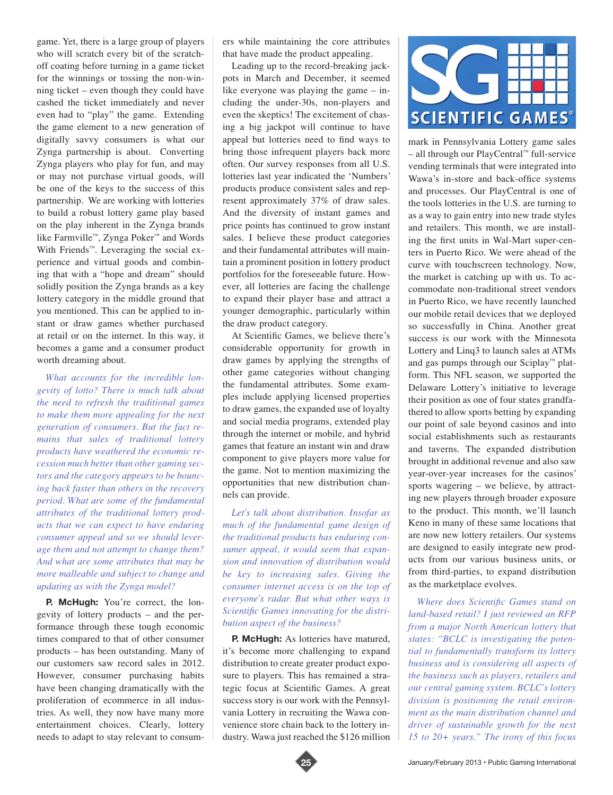game. Yet, there is a large group of players who will scratch every bit of the scratchoff coating before turning in a game ticket for the winnings or tossing the non-winning ticket – even though they could have cashed the ticket immediately and never even had to "play" the game. Extending the game element to a new generation of digitally savvy consumers is what our Zynga partnership is about. Converting Zynga players who play for fun, and may or may not purchase virtual goods, will be one of the keys to the success of this partnership. We are working with lotteries to build a robust lottery game play based on the play inherent in the Zynga brands like Farmville™, Zynga Poker™ and Words With Friends<sup>™</sup>. Leveraging the social experience and virtual goods and combining that with a "hope and dream" should solidly position the Zynga brands as a key lottery category in the middle ground that you mentioned. This can be applied to instant or draw games whether purchased at retail or on the internet. In this way, it becomes a game and a consumer product worth dreaming about.

*What accounts for the incredible longevity of lotto? There is much talk about the need to refresh the traditional games to make them more appealing for the next generation of consumers. But the fact remains that sales of traditional lottery products have weathered the economic recession much better than other gaming sectors and the category appears to be bouncing back faster than others in the recovery period. What are some of the fundamental attributes of the traditional lottery products that we can expect to have enduring consumer appeal and so we should leverage them and not attempt to change them? And what are some attributes that may be more malleable and subject to change and updating as with the Zynga model?* 

**P.** McHugh: You're correct, the longevity of lottery products – and the performance through these tough economic times compared to that of other consumer products – has been outstanding. Many of our customers saw record sales in 2012. However, consumer purchasing habits have been changing dramatically with the proliferation of ecommerce in all industries. As well, they now have many more entertainment choices. Clearly, lottery needs to adapt to stay relevant to consumers while maintaining the core attributes that have made the product appealing.

Leading up to the record-breaking jackpots in March and December, it seemed like everyone was playing the game – including the under-30s, non-players and even the skeptics! The excitement of chasing a big jackpot will continue to have appeal but lotteries need to find ways to bring those infrequent players back more often. Our survey responses from all U.S. lotteries last year indicated the 'Numbers' products produce consistent sales and represent approximately 37% of draw sales. And the diversity of instant games and price points has continued to grow instant sales. I believe these product categories and their fundamental attributes will maintain a prominent position in lottery product portfolios for the foreseeable future. However, all lotteries are facing the challenge to expand their player base and attract a younger demographic, particularly within the draw product category.

At Scientific Games, we believe there's considerable opportunity for growth in draw games by applying the strengths of other game categories without changing the fundamental attributes. Some examples include applying licensed properties to draw games, the expanded use of loyalty and social media programs, extended play through the internet or mobile, and hybrid games that feature an instant win and draw component to give players more value for the game. Not to mention maximizing the opportunities that new distribution channels can provide.

*Let's talk about distribution. Insofar as much of the fundamental game design of the traditional products has enduring consumer appeal, it would seem that expansion and innovation of distribution would be key to increasing sales. Giving the consumer internet access is on the top of everyone's radar. But what other ways is Scientific Games innovating for the distribution aspect of the business?* 

**P. McHugh:** As lotteries have matured, it's become more challenging to expand distribution to create greater product exposure to players. This has remained a strategic focus at Scientific Games. A great success story is our work with the Pennsylvania Lottery in recruiting the Wawa convenience store chain back to the lottery industry. Wawa just reached the \$126 million



mark in Pennsylvania Lottery game sales – all through our PlayCentral™ full-service vending terminals that were integrated into Wawa's in-store and back-office systems and processes. Our PlayCentral is one of the tools lotteries in the U.S. are turning to as a way to gain entry into new trade styles and retailers. This month, we are installing the first units in Wal-Mart super-centers in Puerto Rico. We were ahead of the curve with touchscreen technology. Now, the market is catching up with us. To accommodate non-traditional street vendors in Puerto Rico, we have recently launched our mobile retail devices that we deployed so successfully in China. Another great success is our work with the Minnesota Lottery and Linq3 to launch sales at ATMs and gas pumps through our Sciplay™ platform. This NFL season, we supported the Delaware Lottery's initiative to leverage their position as one of four states grandfathered to allow sports betting by expanding our point of sale beyond casinos and into social establishments such as restaurants and taverns. The expanded distribution brought in additional revenue and also saw year-over-year increases for the casinos' sports wagering – we believe, by attracting new players through broader exposure to the product. This month, we'll launch Keno in many of these same locations that are now new lottery retailers. Our systems are designed to easily integrate new products from our various business units, or from third-parties, to expand distribution as the marketplace evolves.

*Where does Scientific Games stand on land-based retail? I just reviewed an RFP from a major North American lottery that states: "BCLC is investigating the potential to fundamentally transform its lottery business and is considering all aspects of the business such as players, retailers and our central gaming system. BCLC's lottery division is positioning the retail environment as the main distribution channel and driver of sustainable growth for the next 15 to 20+ years." The irony of this focus* 

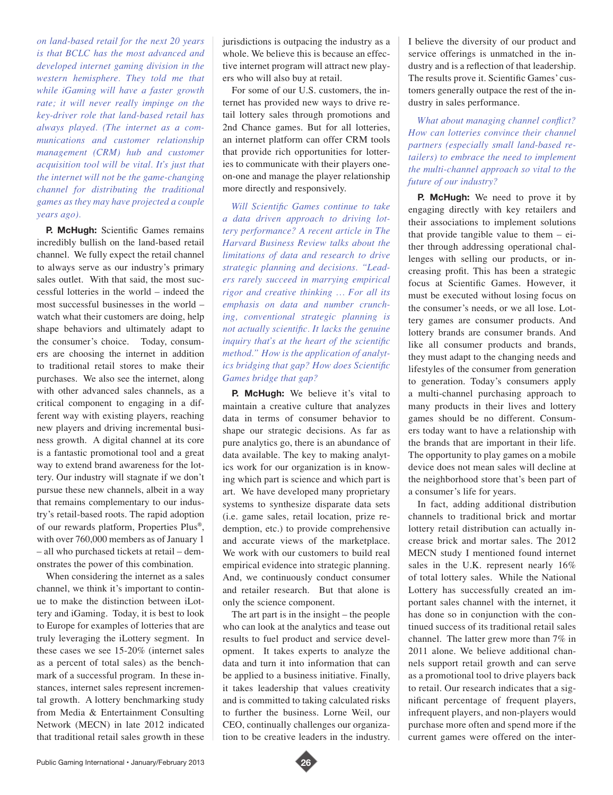*on land-based retail for the next 20 years is that BCLC has the most advanced and developed internet gaming division in the western hemisphere. They told me that while iGaming will have a faster growth rate; it will never really impinge on the key-driver role that land-based retail has always played. (The internet as a communications and customer relationship management (CRM) hub and customer acquisition tool will be vital. It's just that the internet will not be the game-changing channel for distributing the traditional games as they may have projected a couple years ago).* 

**P. McHugh:** Scientific Games remains incredibly bullish on the land-based retail channel. We fully expect the retail channel to always serve as our industry's primary sales outlet. With that said, the most successful lotteries in the world – indeed the most successful businesses in the world – watch what their customers are doing, help shape behaviors and ultimately adapt to the consumer's choice. Today, consumers are choosing the internet in addition to traditional retail stores to make their purchases. We also see the internet, along with other advanced sales channels, as a critical component to engaging in a different way with existing players, reaching new players and driving incremental business growth. A digital channel at its core is a fantastic promotional tool and a great way to extend brand awareness for the lottery. Our industry will stagnate if we don't pursue these new channels, albeit in a way that remains complementary to our industry's retail-based roots. The rapid adoption of our rewards platform, Properties Plus®, with over 760,000 members as of January 1 – all who purchased tickets at retail – demonstrates the power of this combination.

When considering the internet as a sales channel, we think it's important to continue to make the distinction between iLottery and iGaming. Today, it is best to look to Europe for examples of lotteries that are truly leveraging the iLottery segment. In these cases we see 15-20% (internet sales as a percent of total sales) as the benchmark of a successful program. In these instances, internet sales represent incremental growth. A lottery benchmarking study from Media & Entertainment Consulting Network (MECN) in late 2012 indicated that traditional retail sales growth in these jurisdictions is outpacing the industry as a whole. We believe this is because an effective internet program will attract new players who will also buy at retail.

For some of our U.S. customers, the internet has provided new ways to drive retail lottery sales through promotions and 2nd Chance games. But for all lotteries, an internet platform can offer CRM tools that provide rich opportunities for lotteries to communicate with their players oneon-one and manage the player relationship more directly and responsively.

*Will Scientific Games continue to take a data driven approach to driving lottery performance? A recent article in The Harvard Business Review talks about the limitations of data and research to drive strategic planning and decisions. "Leaders rarely succeed in marrying empirical rigor and creative thinking … For all its emphasis on data and number crunching, conventional strategic planning is not actually scientific. It lacks the genuine inquiry that's at the heart of the scientific method." How is the application of analytics bridging that gap? How does Scientific Games bridge that gap?* 

**P.** McHugh: We believe it's vital to maintain a creative culture that analyzes data in terms of consumer behavior to shape our strategic decisions. As far as pure analytics go, there is an abundance of data available. The key to making analytics work for our organization is in knowing which part is science and which part is art. We have developed many proprietary systems to synthesize disparate data sets (i.e. game sales, retail location, prize redemption, etc.) to provide comprehensive and accurate views of the marketplace. We work with our customers to build real empirical evidence into strategic planning. And, we continuously conduct consumer and retailer research. But that alone is only the science component.

The art part is in the insight – the people who can look at the analytics and tease out results to fuel product and service development. It takes experts to analyze the data and turn it into information that can be applied to a business initiative. Finally, it takes leadership that values creativity and is committed to taking calculated risks to further the business. Lorne Weil, our CEO, continually challenges our organization to be creative leaders in the industry.

I believe the diversity of our product and service offerings is unmatched in the industry and is a reflection of that leadership. The results prove it. Scientific Games' customers generally outpace the rest of the industry in sales performance.

*What about managing channel conflict? How can lotteries convince their channel partners (especially small land-based retailers) to embrace the need to implement the multi-channel approach so vital to the future of our industry?* 

**P. McHugh:** We need to prove it by engaging directly with key retailers and their associations to implement solutions that provide tangible value to them  $-$  either through addressing operational challenges with selling our products, or increasing profit. This has been a strategic focus at Scientific Games. However, it must be executed without losing focus on the consumer's needs, or we all lose. Lottery games are consumer products. And lottery brands are consumer brands. And like all consumer products and brands, they must adapt to the changing needs and lifestyles of the consumer from generation to generation. Today's consumers apply a multi-channel purchasing approach to many products in their lives and lottery games should be no different. Consumers today want to have a relationship with the brands that are important in their life. The opportunity to play games on a mobile device does not mean sales will decline at the neighborhood store that's been part of a consumer's life for years.

In fact, adding additional distribution channels to traditional brick and mortar lottery retail distribution can actually increase brick and mortar sales. The 2012 MECN study I mentioned found internet sales in the U.K. represent nearly 16% of total lottery sales. While the National Lottery has successfully created an important sales channel with the internet, it has done so in conjunction with the continued success of its traditional retail sales channel. The latter grew more than 7% in 2011 alone. We believe additional channels support retail growth and can serve as a promotional tool to drive players back to retail. Our research indicates that a significant percentage of frequent players, infrequent players, and non-players would purchase more often and spend more if the current games were offered on the inter-